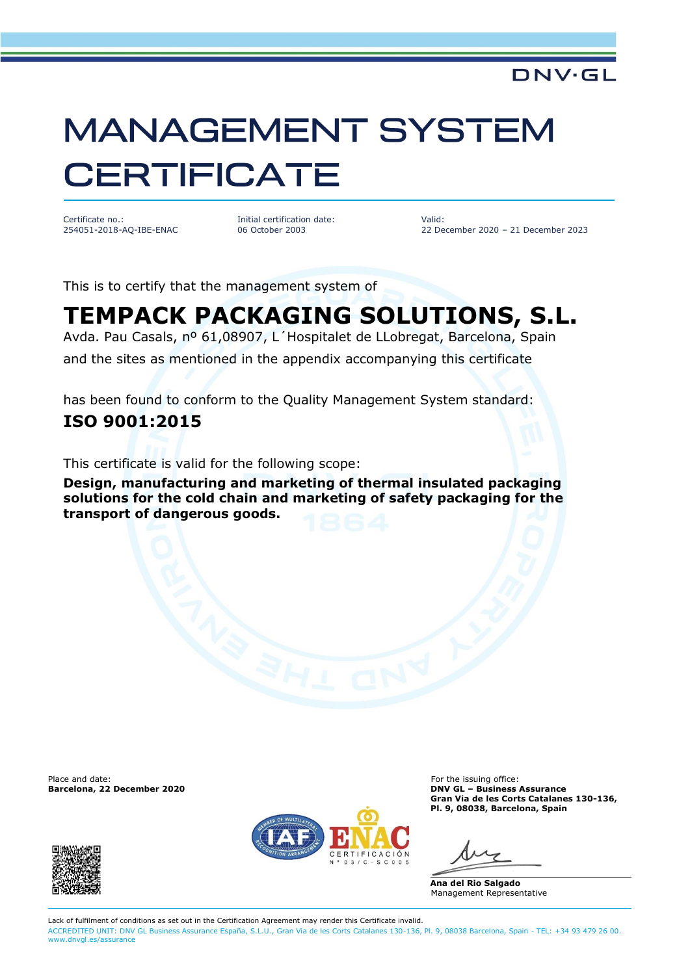## **MANAGEMENT SYSTEM CERTIFICATE**

Certificate no.: 254051-2018-AQ-IBE-ENAC Initial certification date: 06 October 2003

Valid: 22 December 2020 – 21 December 2023

DNV·GL

This is to certify that the management system of

## **TEMPACK PACKAGING SOLUTIONS, S.L.**

Avda. Pau Casals, nº 61,08907, L´Hospitalet de LLobregat, Barcelona, Spain

and the sites as mentioned in the appendix accompanying this certificate

has been found to conform to the Quality Management System standard: **ISO 9001:2015**

This certificate is valid for the following scope:

**Design, manufacturing and marketing of thermal insulated packaging solutions for the cold chain and marketing of safety packaging for the transport of dangerous goods.**

Place and date: **For the issuing office:** For the issuing office: **Barcelona, 22 December 2020 DNV GL – Business Assurance**





**Gran Via de les Corts Catalanes 130-136, Pl. 9, 08038, Barcelona, Spain**

**Ana del Rio Salgado** Management Representative

Lack of fulfilment of conditions as set out in the Certification Agreement may render this Certificate invalid. ACCREDITED UNIT: DNV GL Business Assurance España, S.L.U., Gran Via de les Corts Catalanes 130-136, Pl. 9, 08038 Barcelona, Spain - TEL: +34 93 479 26 00. [www.dnvgl.es/assurance](http://www.dnvgl.es/assurance)